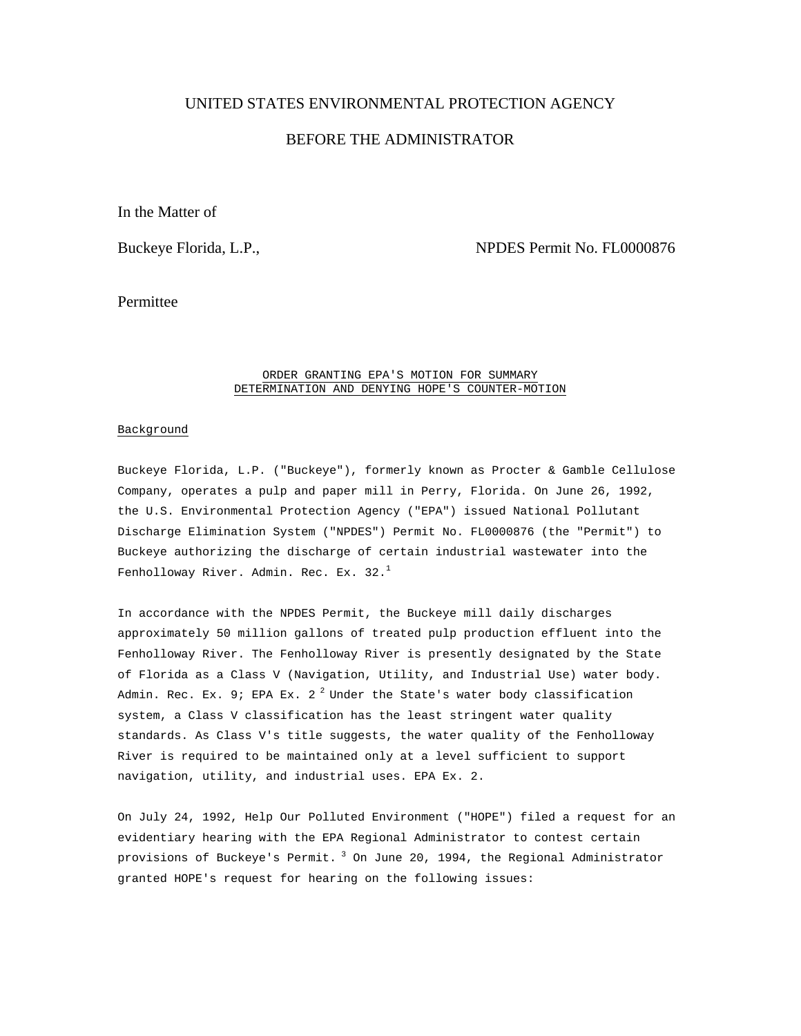## UNITED STATES ENVIRONMENTAL PROTECTION AGENCY

# BEFORE THE ADMINISTRATOR

In the Matter of

Buckeye Florida, L.P., The Contract of the Superson NPDES Permit No. FL0000876

Permittee

#### ORDER GRANTING EPA'S MOTION FOR SUMMARY DETERMINATION AND DENYING HOPE'S COUNTER-MOTION

#### Background

Buckeye Florida, L.P. ("Buckeye"), formerly known as Procter & Gamble Cellulose Company, operates a pulp and paper mill in Perry, Florida. On June 26, 1992, the U.S. Environmental Protection Agency ("EPA") issued National Pollutant Discharge Elimination System ("NPDES") Permit No. FL0000876 (the "Permit") to Buckeye authorizing the discharge of certain industrial wastewater into the Fenholloway River. Admin. Rec. Ex. 32.<sup>1</sup>

In accordance with the NPDES Permit, the Buckeye mill daily discharges approximately 50 million gallons of treated pulp production effluent into the Fenholloway River. The Fenholloway River is presently designated by the State of Florida as a Class V (Navigation, Utility, and Industrial Use) water body. Admin. Rec. Ex. 9; EPA Ex. 2<sup>2</sup> Under the State's water body classification system, a Class V classification has the least stringent water quality standards. As Class V's title suggests, the water quality of the Fenholloway River is required to be maintained only at a level sufficient to support navigation, utility, and industrial uses. EPA Ex. 2.

On July 24, 1992, Help Our Polluted Environment ("HOPE") filed a request for an evidentiary hearing with the EPA Regional Administrator to contest certain provisions of Buckeye's Permit. 3 On June 20, 1994, the Regional Administrator granted HOPE's request for hearing on the following issues: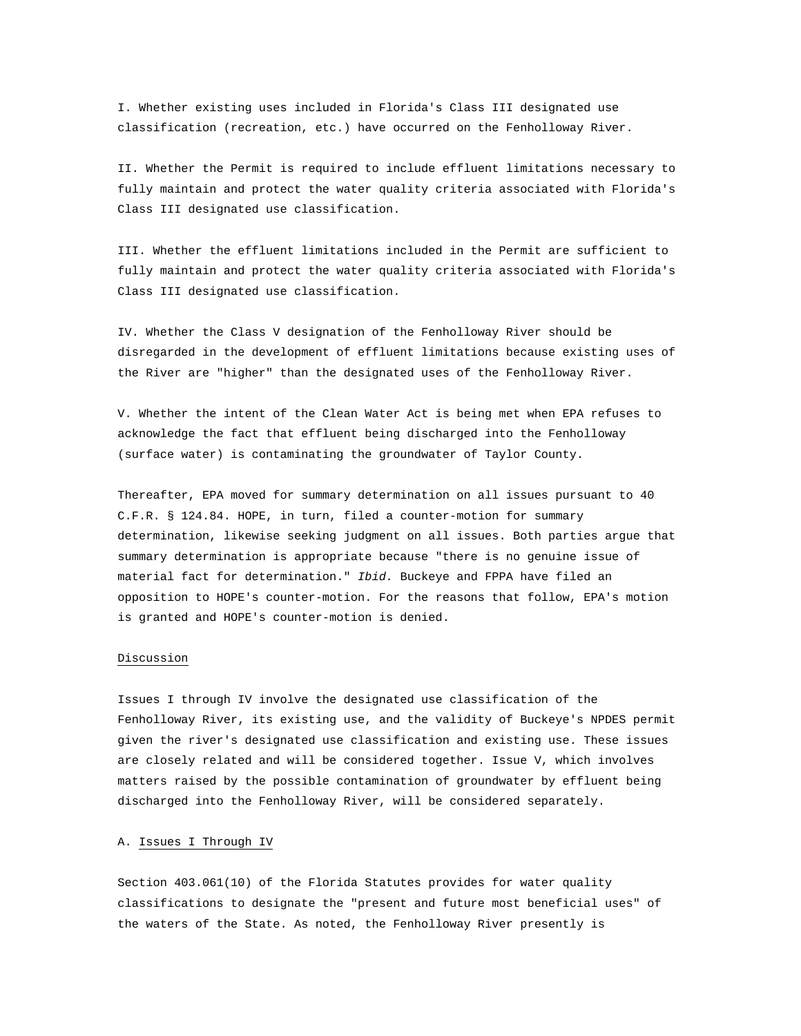I. Whether existing uses included in Florida's Class III designated use classification (recreation, etc.) have occurred on the Fenholloway River.

II. Whether the Permit is required to include effluent limitations necessary to fully maintain and protect the water quality criteria associated with Florida's Class III designated use classification.

III. Whether the effluent limitations included in the Permit are sufficient to fully maintain and protect the water quality criteria associated with Florida's Class III designated use classification.

IV. Whether the Class V designation of the Fenholloway River should be disregarded in the development of effluent limitations because existing uses of the River are "higher" than the designated uses of the Fenholloway River.

V. Whether the intent of the Clean Water Act is being met when EPA refuses to acknowledge the fact that effluent being discharged into the Fenholloway (surface water) is contaminating the groundwater of Taylor County.

Thereafter, EPA moved for summary determination on all issues pursuant to 40 C.F.R. § 124.84. HOPE, in turn, filed a counter-motion for summary determination, likewise seeking judgment on all issues. Both parties argue that summary determination is appropriate because "there is no genuine issue of material fact for determination." *Ibid.* Buckeye and FPPA have filed an opposition to HOPE's counter-motion. For the reasons that follow, EPA's motion is granted and HOPE's counter-motion is denied.

#### Discussion

Issues I through IV involve the designated use classification of the Fenholloway River, its existing use, and the validity of Buckeye's NPDES permit given the river's designated use classification and existing use. These issues are closely related and will be considered together. Issue V, which involves matters raised by the possible contamination of groundwater by effluent being discharged into the Fenholloway River, will be considered separately.

## A. Issues I Through IV

Section 403.061(10) of the Florida Statutes provides for water quality classifications to designate the "present and future most beneficial uses" of the waters of the State. As noted, the Fenholloway River presently is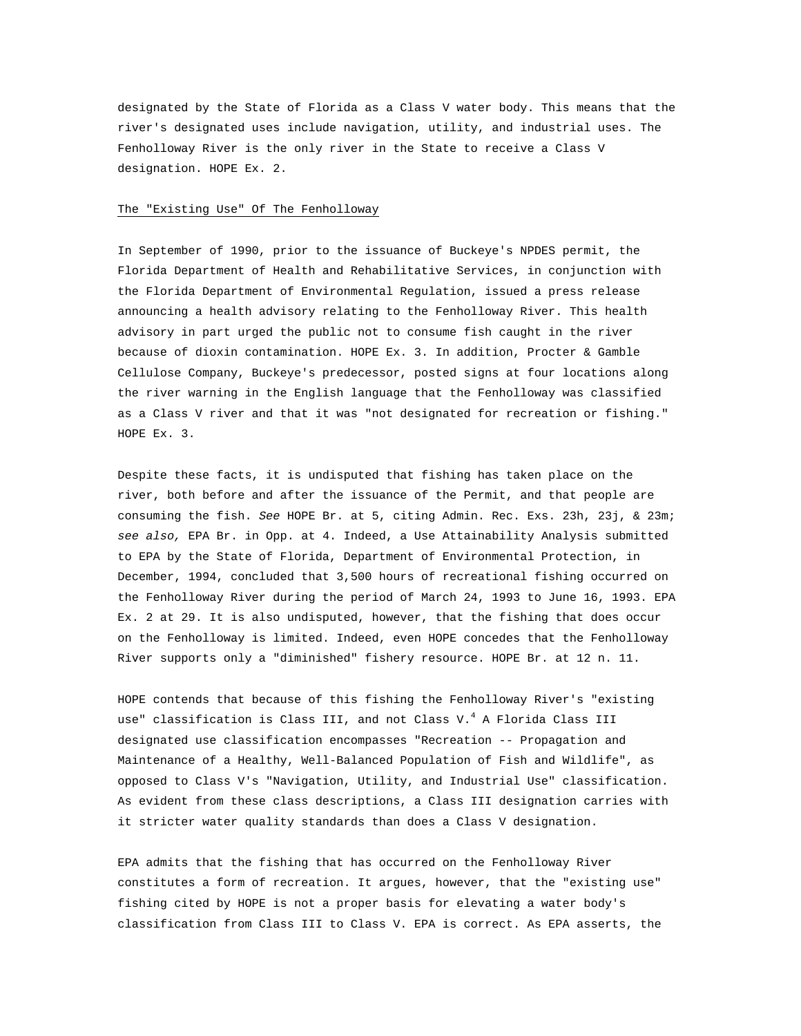designated by the State of Florida as a Class V water body. This means that the river's designated uses include navigation, utility, and industrial uses. The Fenholloway River is the only river in the State to receive a Class V designation. HOPE Ex. 2.

#### The "Existing Use" Of The Fenholloway

In September of 1990, prior to the issuance of Buckeye's NPDES permit, the Florida Department of Health and Rehabilitative Services, in conjunction with the Florida Department of Environmental Regulation, issued a press release announcing a health advisory relating to the Fenholloway River. This health advisory in part urged the public not to consume fish caught in the river because of dioxin contamination. HOPE Ex. 3. In addition, Procter & Gamble Cellulose Company, Buckeye's predecessor, posted signs at four locations along the river warning in the English language that the Fenholloway was classified as a Class V river and that it was "not designated for recreation or fishing." HOPE Ex. 3.

Despite these facts, it is undisputed that fishing has taken place on the river, both before and after the issuance of the Permit, and that people are consuming the fish. *See* HOPE Br. at 5, citing Admin. Rec. Exs. 23h, 23j, & 23m; *see also,* EPA Br. in Opp. at 4. Indeed, a Use Attainability Analysis submitted to EPA by the State of Florida, Department of Environmental Protection, in December, 1994, concluded that 3,500 hours of recreational fishing occurred on the Fenholloway River during the period of March 24, 1993 to June 16, 1993. EPA Ex. 2 at 29. It is also undisputed, however, that the fishing that does occur on the Fenholloway is limited. Indeed, even HOPE concedes that the Fenholloway River supports only a "diminished" fishery resource. HOPE Br. at 12 n. 11.

HOPE contends that because of this fishing the Fenholloway River's "existing use" classification is Class III, and not Class V. $^4$  A Florida Class III designated use classification encompasses "Recreation -- Propagation and Maintenance of a Healthy, Well-Balanced Population of Fish and Wildlife", as opposed to Class V's "Navigation, Utility, and Industrial Use" classification. As evident from these class descriptions, a Class III designation carries with it stricter water quality standards than does a Class V designation.

EPA admits that the fishing that has occurred on the Fenholloway River constitutes a form of recreation. It argues, however, that the "existing use" fishing cited by HOPE is not a proper basis for elevating a water body's classification from Class III to Class V. EPA is correct. As EPA asserts, the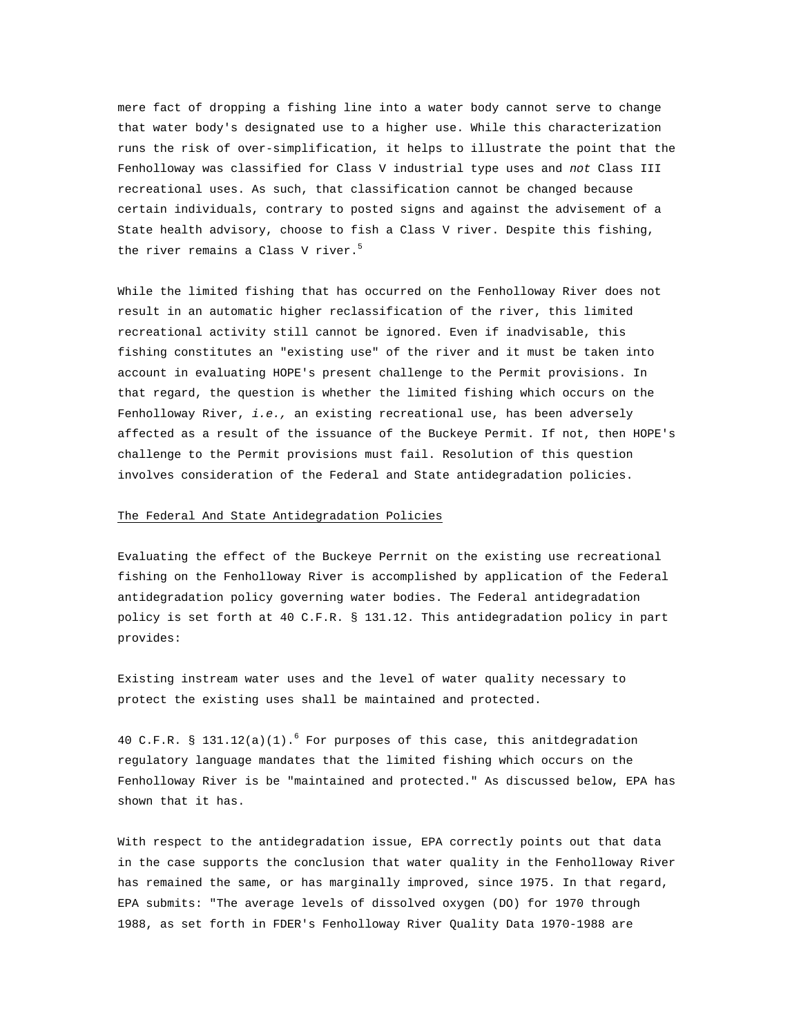mere fact of dropping a fishing line into a water body cannot serve to change that water body's designated use to a higher use. While this characterization runs the risk of over-simplification, it helps to illustrate the point that the Fenholloway was classified for Class V industrial type uses and *not* Class III recreational uses. As such, that classification cannot be changed because certain individuals, contrary to posted signs and against the advisement of a State health advisory, choose to fish a Class V river. Despite this fishing, the river remains a Class V river. $5$ 

While the limited fishing that has occurred on the Fenholloway River does not result in an automatic higher reclassification of the river, this limited recreational activity still cannot be ignored. Even if inadvisable, this fishing constitutes an "existing use" of the river and it must be taken into account in evaluating HOPE's present challenge to the Permit provisions. In that regard, the question is whether the limited fishing which occurs on the Fenholloway River, *i.e.,* an existing recreational use, has been adversely affected as a result of the issuance of the Buckeye Permit. If not, then HOPE's challenge to the Permit provisions must fail. Resolution of this question involves consideration of the Federal and State antidegradation policies.

#### The Federal And State Antidegradation Policies

Evaluating the effect of the Buckeye Perrnit on the existing use recreational fishing on the Fenholloway River is accomplished by application of the Federal antidegradation policy governing water bodies. The Federal antidegradation policy is set forth at 40 C.F.R. § 131.12. This antidegradation policy in part provides:

Existing instream water uses and the level of water quality necessary to protect the existing uses shall be maintained and protected.

40 C.F.R. § 131.12(a)(1).<sup>6</sup> For purposes of this case, this anitdegradation regulatory language mandates that the limited fishing which occurs on the Fenholloway River is be "maintained and protected." As discussed below, EPA has shown that it has.

With respect to the antidegradation issue, EPA correctly points out that data in the case supports the conclusion that water quality in the Fenholloway River has remained the same, or has marginally improved, since 1975. In that regard, EPA submits: "The average levels of dissolved oxygen (DO) for 1970 through 1988, as set forth in FDER's Fenholloway River Quality Data 1970-1988 are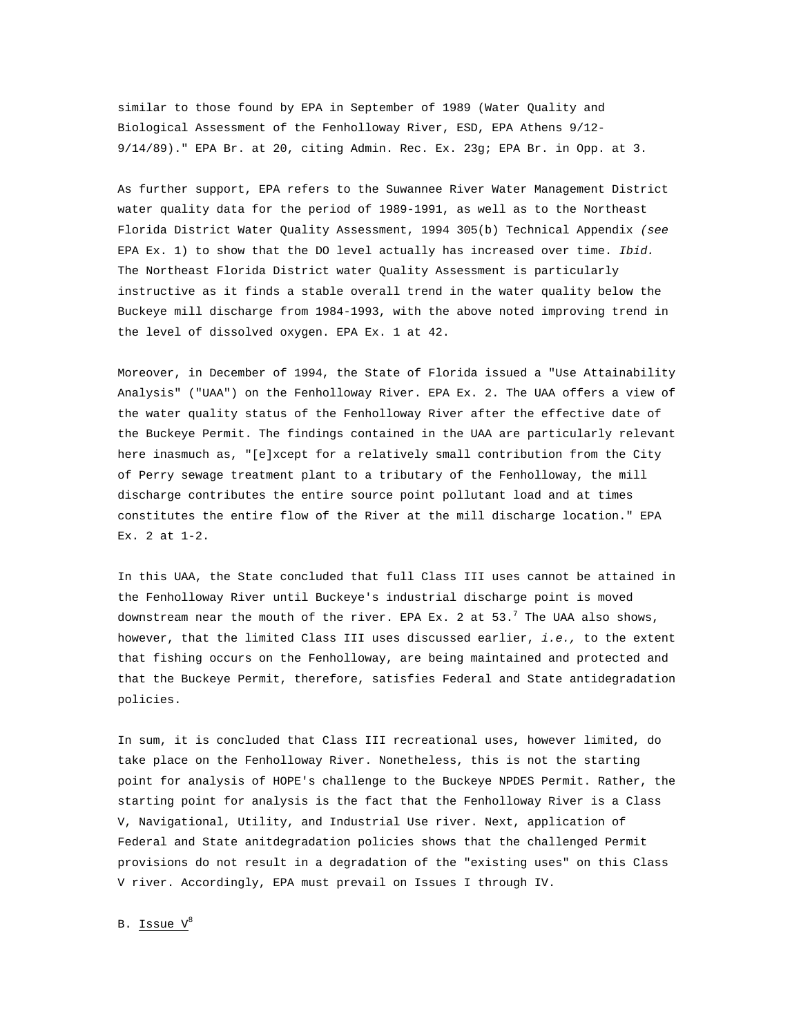similar to those found by EPA in September of 1989 (Water Quality and Biological Assessment of the Fenholloway River, ESD, EPA Athens 9/12- 9/14/89)." EPA Br. at 20, citing Admin. Rec. Ex. 23g; EPA Br. in Opp. at 3.

As further support, EPA refers to the Suwannee River Water Management District water quality data for the period of 1989-1991, as well as to the Northeast Florida District Water Quality Assessment, 1994 305(b) Technical Appendix *(see*  EPA Ex. 1) to show that the DO level actually has increased over time. *Ibid.*  The Northeast Florida District water Quality Assessment is particularly instructive as it finds a stable overall trend in the water quality below the Buckeye mill discharge from 1984-1993, with the above noted improving trend in the level of dissolved oxygen. EPA Ex. 1 at 42.

Moreover, in December of 1994, the State of Florida issued a "Use Attainability Analysis" ("UAA") on the Fenholloway River. EPA Ex. 2. The UAA offers a view of the water quality status of the Fenholloway River after the effective date of the Buckeye Permit. The findings contained in the UAA are particularly relevant here inasmuch as, "[e]xcept for a relatively small contribution from the City of Perry sewage treatment plant to a tributary of the Fenholloway, the mill discharge contributes the entire source point pollutant load and at times constitutes the entire flow of the River at the mill discharge location." EPA Ex. 2 at 1-2.

In this UAA, the State concluded that full Class III uses cannot be attained in the Fenholloway River until Buckeye's industrial discharge point is moved downstream near the mouth of the river. EPA Ex. 2 at 53. $^7$  The UAA also shows, however, that the limited Class III uses discussed earlier, *i.e.,* to the extent that fishing occurs on the Fenholloway, are being maintained and protected and that the Buckeye Permit, therefore, satisfies Federal and State antidegradation policies.

In sum, it is concluded that Class III recreational uses, however limited, do take place on the Fenholloway River. Nonetheless, this is not the starting point for analysis of HOPE's challenge to the Buckeye NPDES Permit. Rather, the starting point for analysis is the fact that the Fenholloway River is a Class V, Navigational, Utility, and Industrial Use river. Next, application of Federal and State anitdegradation policies shows that the challenged Permit provisions do not result in a degradation of the "existing uses" on this Class V river. Accordingly, EPA must prevail on Issues I through IV.

B. Issue  $V^8$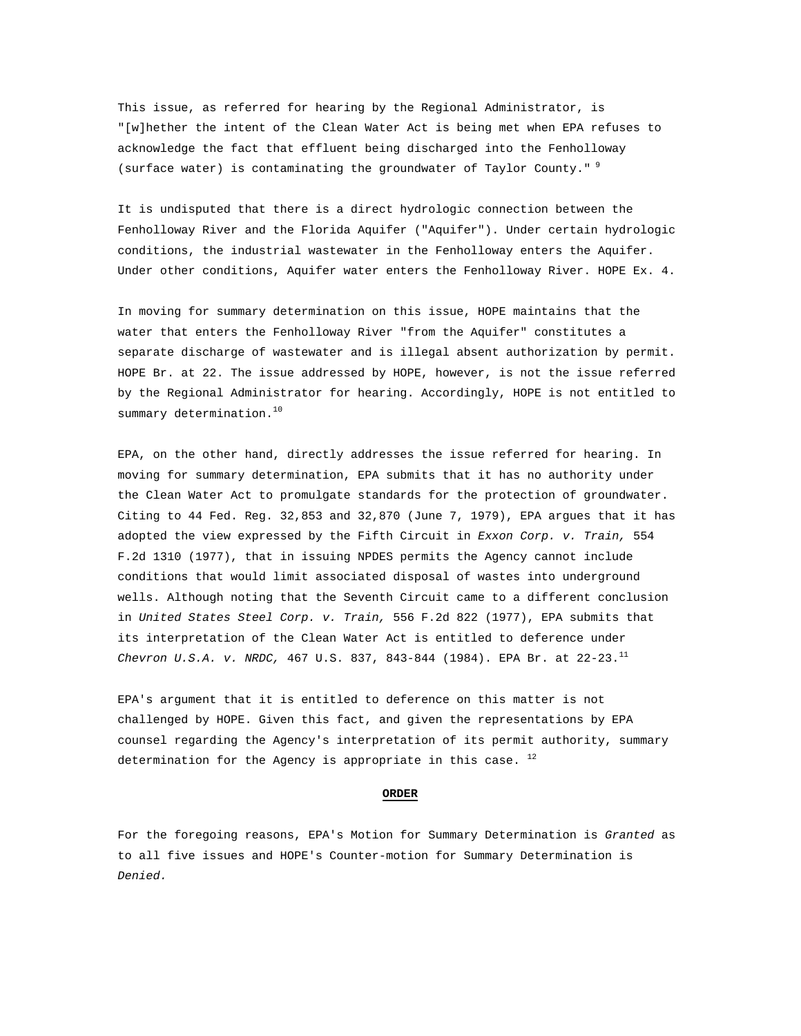This issue, as referred for hearing by the Regional Administrator, is "[w]hether the intent of the Clean Water Act is being met when EPA refuses to acknowledge the fact that effluent being discharged into the Fenholloway (surface water) is contaminating the groundwater of Taylor County." $9$ 

It is undisputed that there is a direct hydrologic connection between the Fenholloway River and the Florida Aquifer ("Aquifer"). Under certain hydrologic conditions, the industrial wastewater in the Fenholloway enters the Aquifer. Under other conditions, Aquifer water enters the Fenholloway River. HOPE Ex. 4.

In moving for summary determination on this issue, HOPE maintains that the water that enters the Fenholloway River "from the Aquifer" constitutes a separate discharge of wastewater and is illegal absent authorization by permit. HOPE Br. at 22. The issue addressed by HOPE, however, is not the issue referred by the Regional Administrator for hearing. Accordingly, HOPE is not entitled to summary determination.<sup>10</sup>

EPA, on the other hand, directly addresses the issue referred for hearing. In moving for summary determination, EPA submits that it has no authority under the Clean Water Act to promulgate standards for the protection of groundwater. Citing to 44 Fed. Reg. 32,853 and 32,870 (June 7, 1979), EPA argues that it has adopted the view expressed by the Fifth Circuit in *Exxon Corp. v. Train,* 554 F.2d 1310 (1977), that in issuing NPDES permits the Agency cannot include conditions that would limit associated disposal of wastes into underground wells. Although noting that the Seventh Circuit came to a different conclusion in *United States Steel Corp. v. Train,* 556 F.2d 822 (1977), EPA submits that its interpretation of the Clean Water Act is entitled to deference under *Chevron U.S.A. v. NRDC,* 467 U.S. 837, 843-844 (1984). EPA Br. at 22-23.<sup>11</sup>

EPA's argument that it is entitled to deference on this matter is not challenged by HOPE. Given this fact, and given the representations by EPA counsel regarding the Agency's interpretation of its permit authority, summary determination for the Agency is appropriate in this case.  $^{12}$ 

#### **ORDER**

For the foregoing reasons, EPA's Motion for Summary Determination is *Granted* as to all five issues and HOPE's Counter-motion for Summary Determination is *Denied.*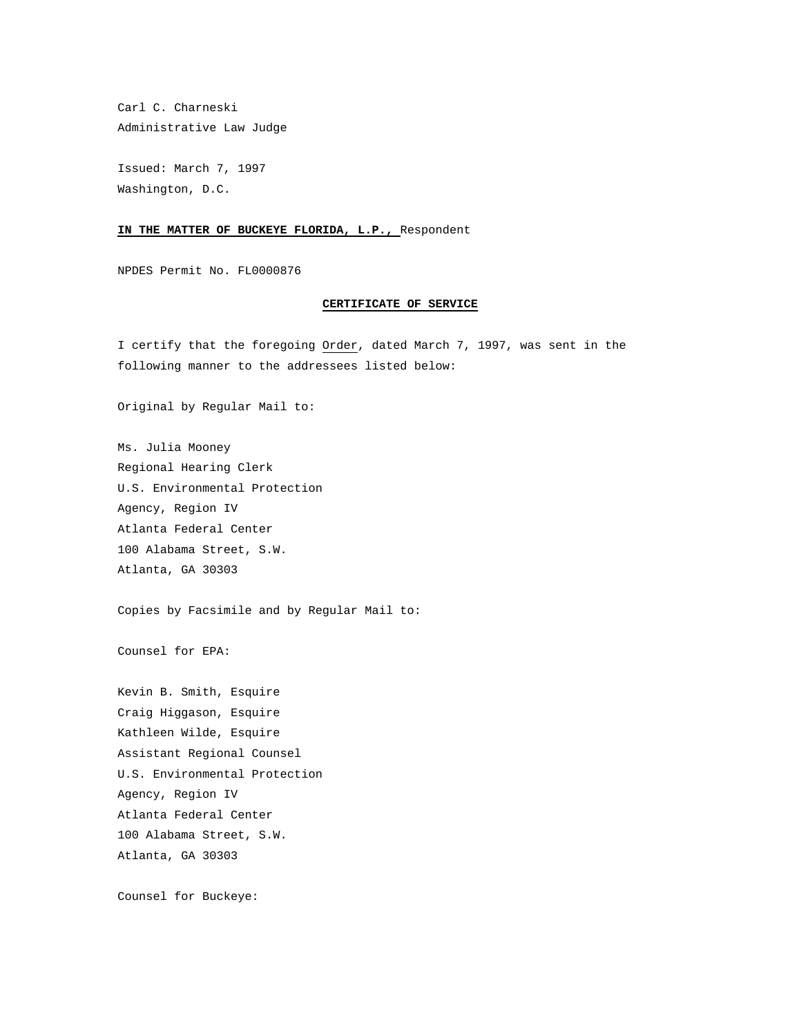Carl C. Charneski Administrative Law Judge

Issued: March 7, 1997 Washington, D.C.

## **IN THE MATTER OF BUCKEYE FLORIDA, L.P.,** Respondent

NPDES Permit No. FL0000876

## **CERTIFICATE OF SERVICE**

I certify that the foregoing Order, dated March 7, 1997, was sent in the following manner to the addressees listed below:

Original by Regular Mail to:

Ms. Julia Mooney Regional Hearing Clerk U.S. Environmental Protection Agency, Region IV Atlanta Federal Center 100 Alabama Street, S.W. Atlanta, GA 30303

Copies by Facsimile and by Regular Mail to:

Counsel for EPA:

Kevin B. Smith, Esquire Craig Higgason, Esquire Kathleen Wilde, Esquire Assistant Regional Counsel U.S. Environmental Protection Agency, Region IV Atlanta Federal Center 100 Alabama Street, S.W. Atlanta, GA 30303

Counsel for Buckeye: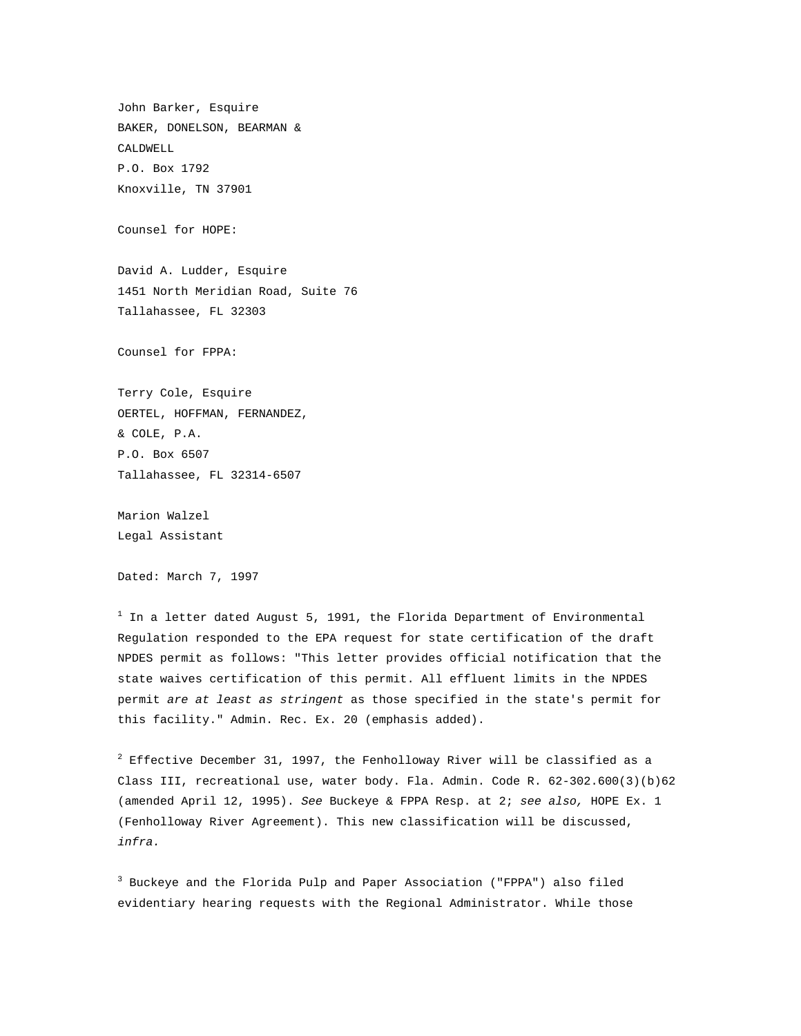John Barker, Esquire BAKER, DONELSON, BEARMAN & CALDWELL P.O. Box 1792 Knoxville, TN 37901

Counsel for HOPE:

David A. Ludder, Esquire 1451 North Meridian Road, Suite 76 Tallahassee, FL 32303

Counsel for FPPA:

Terry Cole, Esquire OERTEL, HOFFMAN, FERNANDEZ, & COLE, P.A. P.O. Box 6507 Tallahassee, FL 32314-6507

Marion Walzel Legal Assistant

Dated: March 7, 1997

 $^{\rm 1}$  In a letter dated August 5, 1991, the Florida Department of Environmental Regulation responded to the EPA request for state certification of the draft NPDES permit as follows: "This letter provides official notification that the state waives certification of this permit. All effluent limits in the NPDES permit *are at least as stringent* as those specified in the state's permit for this facility." Admin. Rec. Ex. 20 (emphasis added).

 $^2$  Effective December 31, 1997, the Fenholloway River will be classified as a Class III, recreational use, water body. Fla. Admin. Code R. 62-302.600(3)(b)62 (amended April 12, 1995). *See* Buckeye & FPPA Resp. at 2; *see also,* HOPE Ex. 1 (Fenholloway River Agreement). This new classification will be discussed, *infra.*

<sup>3</sup> Buckeye and the Florida Pulp and Paper Association ("FPPA") also filed evidentiary hearing requests with the Regional Administrator. While those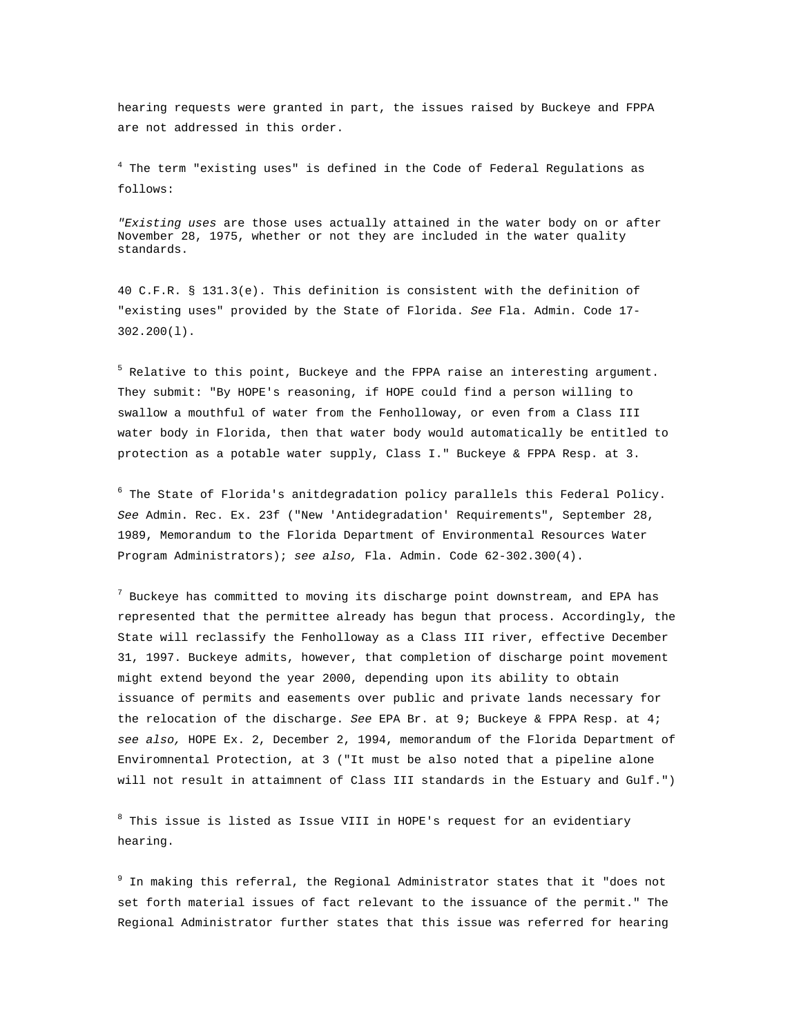hearing requests were granted in part, the issues raised by Buckeye and FPPA are not addressed in this order.

<sup>4</sup> The term "existing uses" is defined in the Code of Federal Regulations as follows:

*"Existing uses* are those uses actually attained in the water body on or after November 28, 1975, whether or not they are included in the water quality standards.

40 C.F.R. § 131.3(e). This definition is consistent with the definition of "existing uses" provided by the State of Florida. *See* Fla. Admin. Code 17- 302.200(l).

<sup>5</sup> Relative to this point, Buckeye and the FPPA raise an interesting argument. They submit: "By HOPE's reasoning, if HOPE could find a person willing to swallow a mouthful of water from the Fenholloway, or even from a Class III water body in Florida, then that water body would automatically be entitled to protection as a potable water supply, Class I." Buckeye & FPPA Resp. at 3.

 $^6$  The State of Florida's anitdegradation policy parallels this Federal Policy. *See* Admin. Rec. Ex. 23f ("New 'Antidegradation' Requirements", September 28, 1989, Memorandum to the Florida Department of Environmental Resources Water Program Administrators); *see also,* Fla. Admin. Code 62-302.300(4).

 $^7$  Buckeye has committed to moving its discharge point downstream, and EPA has represented that the permittee already has begun that process. Accordingly, the State will reclassify the Fenholloway as a Class III river, effective December 31, 1997. Buckeye admits, however, that completion of discharge point movement might extend beyond the year 2000, depending upon its ability to obtain issuance of permits and easements over public and private lands necessary for the relocation of the discharge. *See* EPA Br. at 9; Buckeye & FPPA Resp. at 4; *see also,* HOPE Ex. 2, December 2, 1994, memorandum of the Florida Department of Enviromnental Protection, at 3 ("It must be also noted that a pipeline alone will not result in attaimnent of Class III standards in the Estuary and Gulf.")

 $^8$  This issue is listed as Issue VIII in HOPE's request for an evidentiary hearing.

<sup>9</sup> In making this referral, the Regional Administrator states that it "does not set forth material issues of fact relevant to the issuance of the permit." The Regional Administrator further states that this issue was referred for hearing